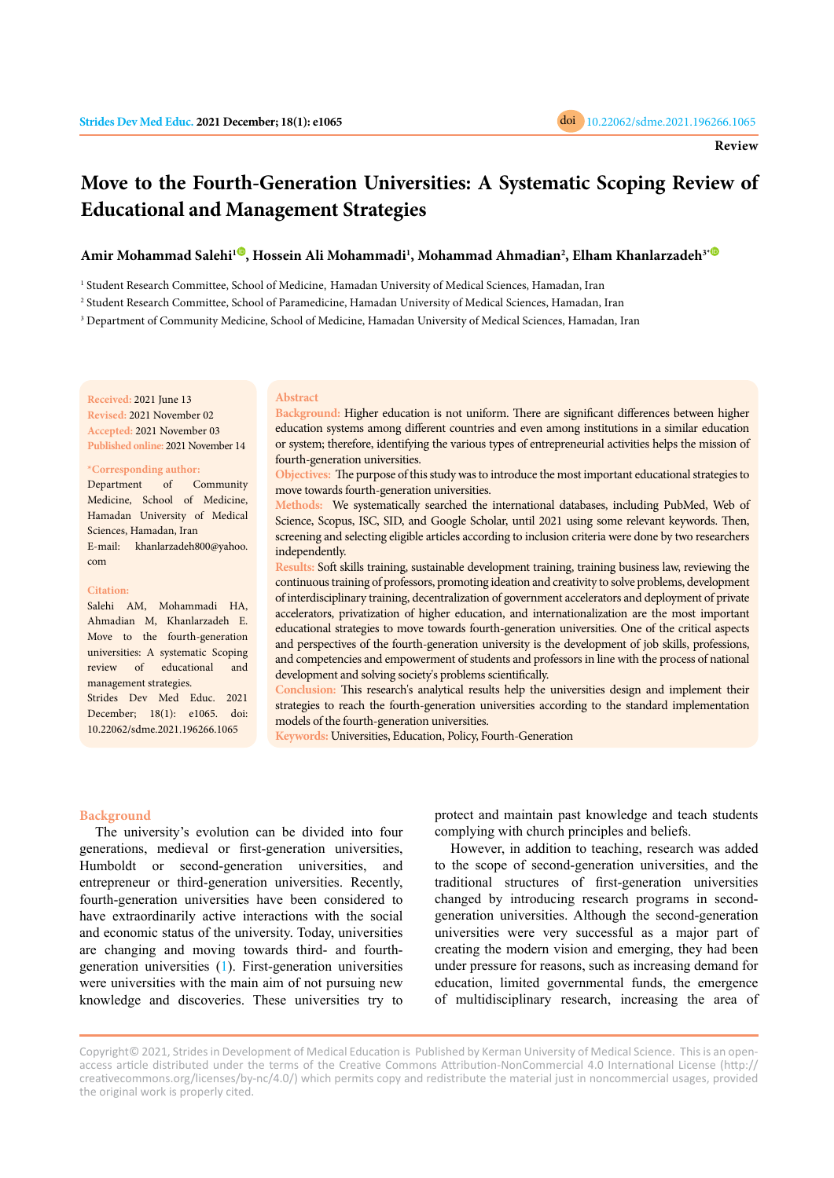

# **Move to the Fourth-Generation Universities: A Systematic Scoping Review of Educational and Management Strategies**

# **Amir Mohammad Salehi[1](https://orcid.org/0000-0002-1724-6432) , Hossein Ali Mohammadi1 , Mohammad Ahmadian2 , Elham Khanlarzadeh3[\\*](https://orcid.org/0000-0003-3265-4570)**

1 Student Research Committee, School of Medicine, Hamadan University of Medical Sciences, Hamadan, Iran

2 Student Research Committee, School of Paramedicine, Hamadan University of Medical Sciences, Hamadan, Iran

 $^3$  Department of Community Medicine, School of Medicine, Hamadan University of Medical Sciences, Hamadan, Iran

## **Received:** 2021 June 13 **Revised:** 2021 November 02 **Accepted:** 2021 November 03

**Published online:** 2021 November 14

#### **\*Corresponding author:**

Department of Community Medicine, School of Medicine, Hamadan University of Medical Sciences, Hamadan, Iran E-mail: khanlarzadeh800@yahoo. com

#### **Citation:**

Salehi AM, Mohammadi HA, Ahmadian M, Khanlarzadeh E. Move to the fourth-generation universities: A systematic Scoping review of educational and management strategies. Strides Dev Med Educ. 2021 December; 18(1): e1065. doi:

10.22062/sdme.2021.196266.1065

# **Abstract**

**Background:** Higher education is not uniform. There are significant differences between higher education systems among different countries and even among institutions in a similar education or system; therefore, identifying the various types of entrepreneurial activities helps the mission of fourth-generation universities.

**Objectives:** The purpose of this study was to introduce the most important educational strategies to move towards fourth-generation universities.

**Methods:** We systematically searched the international databases, including PubMed, Web of Science, Scopus, ISC, SID, and Google Scholar, until 2021 using some relevant keywords. Then, screening and selecting eligible articles according to inclusion criteria were done by two researchers independently.

**Results:** Soft skills training, sustainable development training, training business law, reviewing the continuous training of professors, promoting ideation and creativity to solve problems, development of interdisciplinary training, decentralization of government accelerators and deployment of private accelerators, privatization of higher education, and internationalization are the most important educational strategies to move towards fourth-generation universities. One of the critical aspects and perspectives of the fourth-generation university is the development of job skills, professions, and competencies and empowerment of students and professors in line with the process of national development and solving society's problems scientifically.

**Conclusion:** This research's analytical results help the universities design and implement their strategies to reach the fourth-generation universities according to the standard implementation models of the fourth-generation universities.

**Keywords:** Universities, Education, Policy, Fourth-Generation

#### **Background**

The university's evolution can be divided into four generations, medieval or first-generation universities, Humboldt or second-generation universities, and entrepreneur or third-generation universities. Recently, fourth-generation universities have been considered to have extraordinarily active interactions with the social and economic status of the university. Today, universities are changing and moving towards third- and fourthgeneration universities ([1](#page-6-0)). First-generation universities were universities with the main aim of not pursuing new knowledge and discoveries. These universities try to

protect and maintain past knowledge and teach students complying with church principles and beliefs.

However, in addition to teaching, research was added to the scope of second-generation universities, and the traditional structures of first-generation universities changed by introducing research programs in secondgeneration universities. Although the second-generation universities were very successful as a major part of creating the modern vision and emerging, they had been under pressure for reasons, such as increasing demand for education, limited governmental funds, the emergence of multidisciplinary research, increasing the area of

Copyright© 2021, Strides in Development of Medical Education is Published by Kerman University of Medical Science. This is an openaccess article distributed under the terms of the Creative Commons Attribution-NonCommercial 4.0 International License (http:// creativecommons.org/licenses/by-nc/4.0/) which permits copy and redistribute the material just in noncommercial usages, provided the original work is properly cited.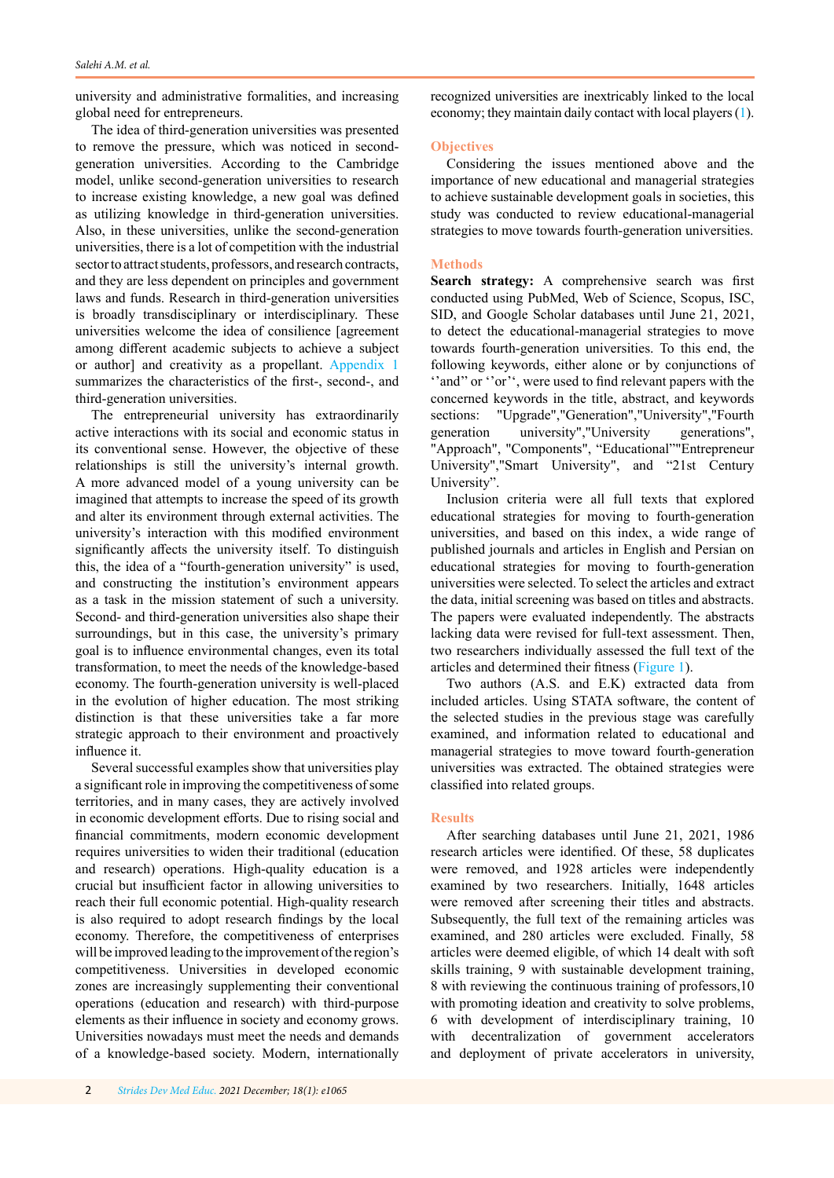university and administrative formalities, and increasing global need for entrepreneurs.

The idea of third-generation universities was presented to remove the pressure, which was noticed in secondgeneration universities. According to the Cambridge model, unlike second-generation universities to research to increase existing knowledge, a new goal was defined as utilizing knowledge in third-generation universities. Also, in these universities, unlike the second-generation universities, there is a lot of competition with the industrial sector to attract students, professors, and research contracts, and they are less dependent on principles and government laws and funds. Research in third-generation universities is broadly transdisciplinary or interdisciplinary. These universities welcome the idea of consilience [agreement among different academic subjects to achieve a subject or author] and creativity as a propellant. [Appendix 1](#page-7-0)  summarizes the characteristics of the first-, second-, and third-generation universities.

The entrepreneurial university has extraordinarily active interactions with its social and economic status in its conventional sense. However, the objective of these relationships is still the university's internal growth. A more advanced model of a young university can be imagined that attempts to increase the speed of its growth and alter its environment through external activities. The university's interaction with this modified environment significantly affects the university itself. To distinguish this, the idea of a "fourth-generation university" is used, and constructing the institution's environment appears as a task in the mission statement of such a university. Second- and third-generation universities also shape their surroundings, but in this case, the university's primary goal is to influence environmental changes, even its total transformation, to meet the needs of the knowledge-based economy. The fourth-generation university is well-placed in the evolution of higher education. The most striking distinction is that these universities take a far more strategic approach to their environment and proactively influence it.

Several successful examples show that universities play a significant role in improving the competitiveness of some territories, and in many cases, they are actively involved in economic development efforts. Due to rising social and financial commitments, modern economic development requires universities to widen their traditional (education and research) operations. High-quality education is a crucial but insufficient factor in allowing universities to reach their full economic potential. High-quality research is also required to adopt research findings by the local economy. Therefore, the competitiveness of enterprises will be improved leading to the improvement of the region's competitiveness. Universities in developed economic zones are increasingly supplementing their conventional operations (education and research) with third-purpose elements as their influence in society and economy grows. Universities nowadays must meet the needs and demands of a knowledge-based society. Modern, internationally recognized universities are inextricably linked to the local economy; they maintain daily contact with local players [\(1](#page-6-0)).

## **Objectives**

Considering the issues mentioned above and the importance of new educational and managerial strategies to achieve sustainable development goals in societies, this study was conducted to review educational-managerial strategies to move towards fourth-generation universities.

#### **Methods**

**Search strategy:** A comprehensive search was first conducted using PubMed, Web of Science, Scopus, ISC, SID, and Google Scholar databases until June 21, 2021, to detect the educational-managerial strategies to move towards fourth-generation universities. To this end, the following keywords, either alone or by conjunctions of "and" or "or", were used to find relevant papers with the concerned keywords in the title, abstract, and keywords sections: "Upgrade","Generation","University","Fourth generation university","University generations", "Approach", "Components", "Educational""Entrepreneur University","Smart University", and "21st Century University".

Inclusion criteria were all full texts that explored educational strategies for moving to fourth-generation universities, and based on this index, a wide range of published journals and articles in English and Persian on educational strategies for moving to fourth-generation universities were selected. To select the articles and extract the data, initial screening was based on titles and abstracts. The papers were evaluated independently. The abstracts lacking data were revised for full-text assessment. Then, two researchers individually assessed the full text of the articles and determined their fitness ([Figure 1](#page-2-0)).

Two authors (A.S. and E.K) extracted data from included articles. Using STATA software, the content of the selected studies in the previous stage was carefully examined, and information related to educational and managerial strategies to move toward fourth-generation universities was extracted. The obtained strategies were classified into related groups.

#### **Results**

After searching databases until June 21, 2021, 1986 research articles were identified. Of these, 58 duplicates were removed, and 1928 articles were independently examined by two researchers. Initially, 1648 articles were removed after screening their titles and abstracts. Subsequently, the full text of the remaining articles was examined, and 280 articles were excluded. Finally, 58 articles were deemed eligible, of which 14 dealt with soft skills training, 9 with sustainable development training, 8 with reviewing the continuous training of professors,10 with promoting ideation and creativity to solve problems, 6 with development of interdisciplinary training, 10 with decentralization of government accelerators and deployment of private accelerators in university,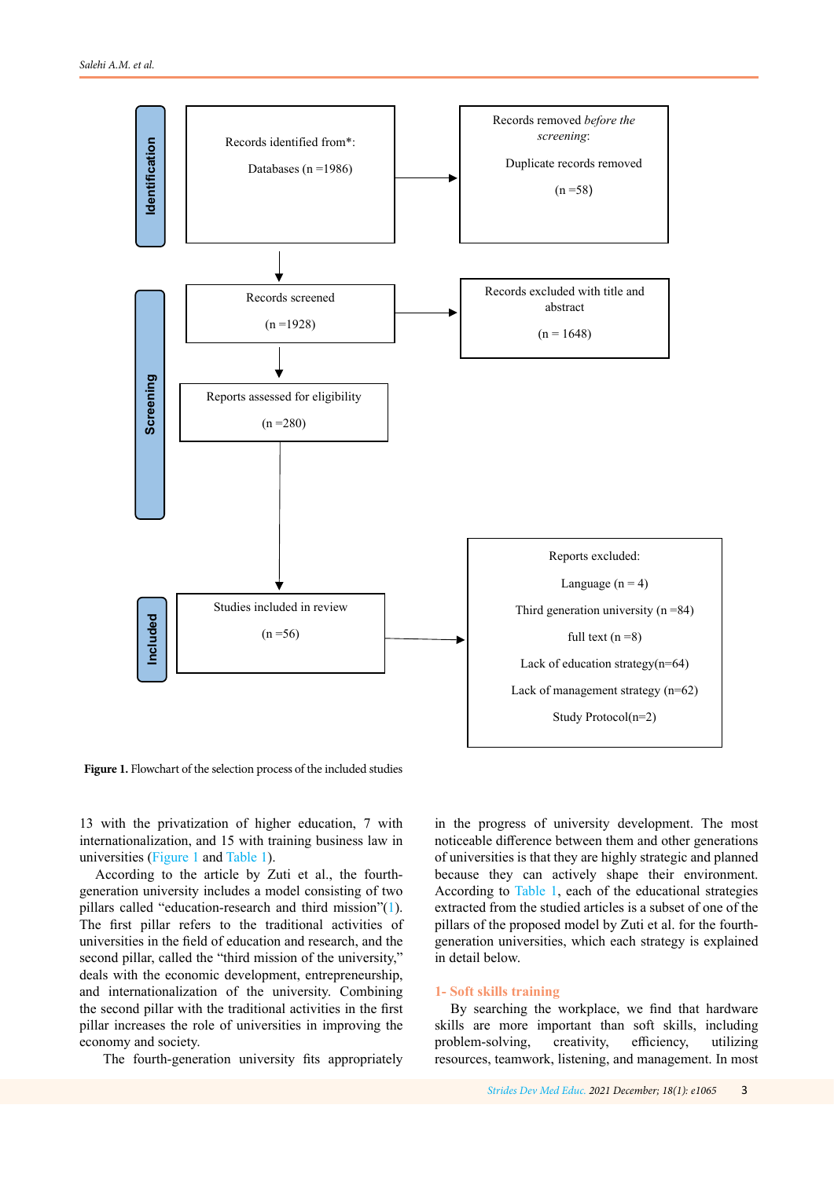<span id="page-2-0"></span>

Figure 1. Flowchart of the selection process of the included studies

13 with the privatization of higher education, 7 with internationalization, and 15 with training business law in universities (Figure 1 and [Table 1](#page-3-0)).

According to the article by Zuti et al., the fourthgeneration university includes a model consisting of two pillars called "education-research and third mission"([1](#page-6-0)). The first pillar refers to the traditional activities of universities in the field of education and research, and the second pillar, called the "third mission of the university," deals with the economic development, entrepreneurship, and internationalization of the university. Combining the second pillar with the traditional activities in the first pillar increases the role of universities in improving the economy and society.

The fourth-generation university fits appropriately

in the progress of university development. The most noticeable difference between them and other generations of universities is that they are highly strategic and planned because they can actively shape their environment. According to [Table 1](#page-3-0), each of the educational strategies extracted from the studied articles is a subset of one of the pillars of the proposed model by Zuti et al. for the fourthgeneration universities, which each strategy is explained in detail below.

#### **1- Soft skills training**

By searching the workplace, we find that hardware skills are more important than soft skills, including problem-solving, creativity, efficiency, utilizing resources, teamwork, listening, and management. In most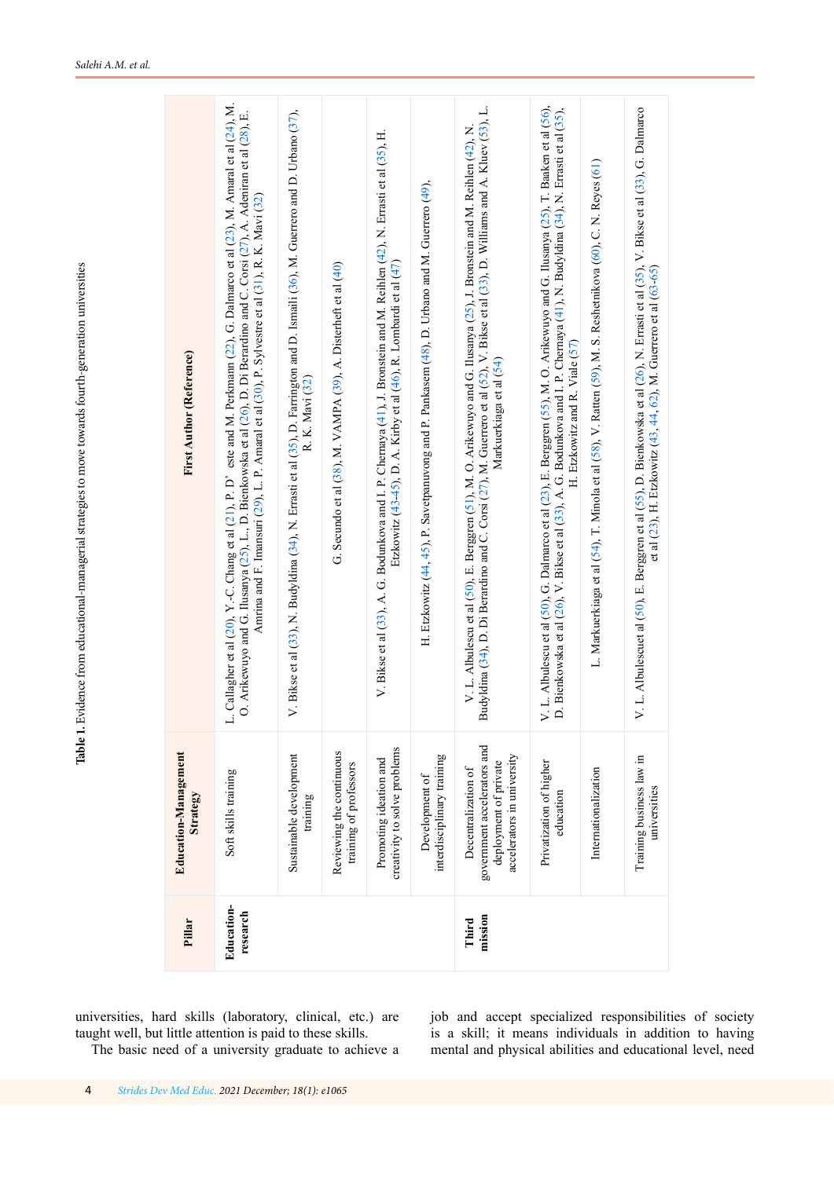Table 1. Evidence from educational-managerial strategies to move towards fourth-generation universities **Table 1.** Evidence from educational-managerial strategies to move towards fourth-generation universities

<span id="page-3-0"></span>

| <b>First Author (Reference)</b>  | L. Callagher et al (20), Y.-C. Chang et al (21), P. D' este and M. Perkmann (22), G. Dalmarco et al (23), M. Amaral et al (24), M.<br>O. Arikewuyo and G. Ilusanya (25), L., D. Bienkowska et al (26), D. Di Berardino and C. Corsi (27), A. Adeniran et al (28), E.<br>Amrina and F. Imansuri (29), L. P. Amaral et al (30), P. Sylvestre et al (31), R. K. Mavi (32) | V. Bikse et al (33), N. Budyldina (34), N. Errasti et al (35), D. Farrington and D. Ismaili (36), M. Guerrero and D. Urbano (37),<br>R. K. Mavi (32) | G. Secundo et al (38), M. VAMPA (39), A. Disterheft et al (40) | V. Bikse et al (33), A. G. Bodunkova and I. P. Chemaya $(41)$ , J. Bronstein and M. Reihlen $(42)$ , N. Errasti et al (35), H.<br>Etzkowitz (43-45), D. A. Kirby et al (46), R. Lombardi et al (47) | H. Etzkowitz (44, 45), P. Savetpanuvong and P. Pankasem (48), D. Urbano and M. Guerrero (49), | Budyldina (34), D. Di Berardino and C. Corsi (27), M. Guerrero et al (32), V. Bikse et al (33), D. Williams and A. Kluev (53), L.<br>V. L. Albulescu et al (50), E. Berggren (51), M. O. Arikewuyo and G. Ilusanya (25), J. Bronstein and M. Reihlen (42), N.<br>Markuerkiaga et al (54) | V. L. Albulescu et al (50), G. Dalmarco et al (23), E. Berggren (55), M. O. Arikewuyo and G. Ilusanya (25), T. Baaken et al (56),<br>D. Bienkowska et al (26), V. Bikse et al (33), A. G. Bodunkova and I. P. Chernaya (41), N. Budyldina (34), N. Errasti et al (35),<br>H. Etzkowitz and R. Viale (57) | L. Markuerkiaga et al (54), T. Minola et al (58), V. Ratten (59), M. S. Reshetnikova (60), C. N. Reyes (61) | V. L. Albulescuet al (50), E. Berggren et al (55), D. Bienkowska et al (26), N. Errasti et al (35), V. Bikse et al (33), G. Dalmarco<br>et al $(23)$ , H. Etzkowitz $(43, 44, 62)$ , M. Guerrero et al $(63-65)$ |
|----------------------------------|------------------------------------------------------------------------------------------------------------------------------------------------------------------------------------------------------------------------------------------------------------------------------------------------------------------------------------------------------------------------|------------------------------------------------------------------------------------------------------------------------------------------------------|----------------------------------------------------------------|-----------------------------------------------------------------------------------------------------------------------------------------------------------------------------------------------------|-----------------------------------------------------------------------------------------------|------------------------------------------------------------------------------------------------------------------------------------------------------------------------------------------------------------------------------------------------------------------------------------------|----------------------------------------------------------------------------------------------------------------------------------------------------------------------------------------------------------------------------------------------------------------------------------------------------------|-------------------------------------------------------------------------------------------------------------|------------------------------------------------------------------------------------------------------------------------------------------------------------------------------------------------------------------|
| Education-Management<br>Strategy | Soft skills training                                                                                                                                                                                                                                                                                                                                                   | Sustainable development<br>training                                                                                                                  | Reviewing the continuous<br>training of professors             | creativity to solve problems<br>Promoting ideation and                                                                                                                                              | interdisciplinary training<br>Development of                                                  | government accelerators and<br>accelerators in university<br>deployment of private<br>Decentralization of                                                                                                                                                                                | Privatization of higher<br>education                                                                                                                                                                                                                                                                     | Internationalization                                                                                        | Training business law in<br>universities                                                                                                                                                                         |
| Pillar                           | Education-<br>research                                                                                                                                                                                                                                                                                                                                                 |                                                                                                                                                      |                                                                |                                                                                                                                                                                                     |                                                                                               | mission<br>Third                                                                                                                                                                                                                                                                         |                                                                                                                                                                                                                                                                                                          |                                                                                                             |                                                                                                                                                                                                                  |

universities, hard skills (laboratory, clinical, etc.) are taught well, but little attention is paid to these skills.

The basic need of a university graduate to achieve a

job and accept specialized responsibilities of society is a skill; it means individuals in addition to having mental and physical abilities and educational level, need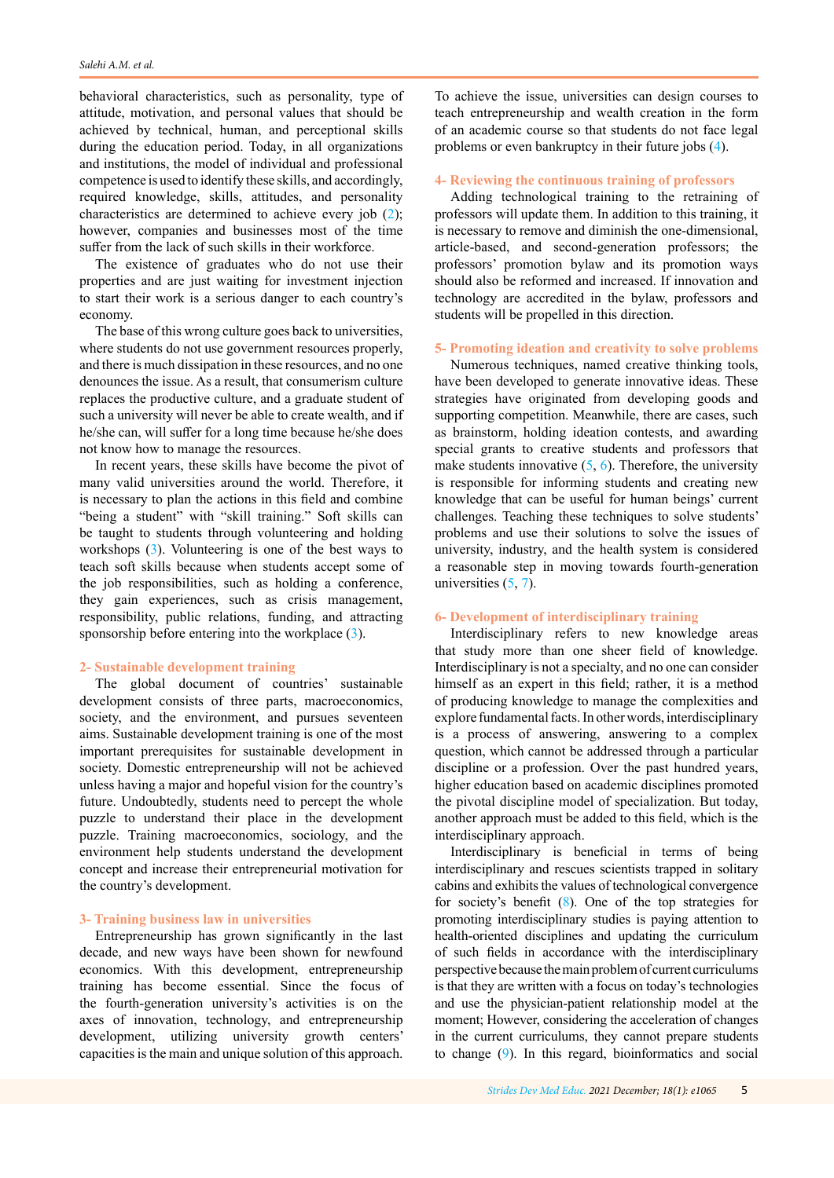behavioral characteristics, such as personality, type of attitude, motivation, and personal values that should be achieved by technical, human, and perceptional skills during the education period. Today, in all organizations and institutions, the model of individual and professional competence is used to identify these skills, and accordingly, required knowledge, skills, attitudes, and personality characteristics are determined to achieve every job ([2](#page-6-0)); however, companies and businesses most of the time suffer from the lack of such skills in their workforce.

The existence of graduates who do not use their properties and are just waiting for investment injection to start their work is a serious danger to each country's economy.

The base of this wrong culture goes back to universities, where students do not use government resources properly, and there is much dissipation in these resources, and no one denounces the issue. As a result, that consumerism culture replaces the productive culture, and a graduate student of such a university will never be able to create wealth, and if he/she can, will suffer for a long time because he/she does not know how to manage the resources.

In recent years, these skills have become the pivot of many valid universities around the world. Therefore, it is necessary to plan the actions in this field and combine "being a student" with "skill training." Soft skills can be taught to students through volunteering and holding workshops [\(3](#page-6-0)). Volunteering is one of the best ways to teach soft skills because when students accept some of the job responsibilities, such as holding a conference, they gain experiences, such as crisis management, responsibility, public relations, funding, and attracting sponsorship before entering into the workplace ([3](#page-6-0)).

## **2- Sustainable development training**

The global document of countries' sustainable development consists of three parts, macroeconomics, society, and the environment, and pursues seventeen aims. Sustainable development training is one of the most important prerequisites for sustainable development in society. Domestic entrepreneurship will not be achieved unless having a major and hopeful vision for the country's future. Undoubtedly, students need to percept the whole puzzle to understand their place in the development puzzle. Training macroeconomics, sociology, and the environment help students understand the development concept and increase their entrepreneurial motivation for the country's development.

## **3- Training business law in universities**

Entrepreneurship has grown significantly in the last decade, and new ways have been shown for newfound economics. With this development, entrepreneurship training has become essential. Since the focus of the fourth-generation university's activities is on the axes of innovation, technology, and entrepreneurship development, utilizing university growth centers' capacities is the main and unique solution of this approach.

To achieve the issue, universities can design courses to teach entrepreneurship and wealth creation in the form of an academic course so that students do not face legal problems or even bankruptcy in their future jobs ([4\)](#page-6-0).

#### **4- Reviewing the continuous training of professors**

Adding technological training to the retraining of professors will update them. In addition to this training, it is necessary to remove and diminish the one-dimensional, article-based, and second-generation professors; the professors' promotion bylaw and its promotion ways should also be reformed and increased. If innovation and technology are accredited in the bylaw, professors and students will be propelled in this direction.

## **5- Promoting ideation and creativity to solve problems**

Numerous techniques, named creative thinking tools, have been developed to generate innovative ideas. These strategies have originated from developing goods and supporting competition. Meanwhile, there are cases, such as brainstorm, holding ideation contests, and awarding special grants to creative students and professors that make students innovative  $(5, 6)$  $(5, 6)$  $(5, 6)$  $(5, 6)$ . Therefore, the university is responsible for informing students and creating new knowledge that can be useful for human beings' current challenges. Teaching these techniques to solve students' problems and use their solutions to solve the issues of university, industry, and the health system is considered a reasonable step in moving towards fourth-generation universities ([5](#page-6-0), [7](#page-6-0)).

#### **6- Development of interdisciplinary training**

Interdisciplinary refers to new knowledge areas that study more than one sheer field of knowledge. Interdisciplinary is not a specialty, and no one can consider himself as an expert in this field; rather, it is a method of producing knowledge to manage the complexities and explore fundamental facts. In other words, interdisciplinary is a process of answering, answering to a complex question, which cannot be addressed through a particular discipline or a profession. Over the past hundred years, higher education based on academic disciplines promoted the pivotal discipline model of specialization. But today, another approach must be added to this field, which is the interdisciplinary approach.

Interdisciplinary is beneficial in terms of being interdisciplinary and rescues scientists trapped in solitary cabins and exhibits the values of technological convergence for society's benefit  $(8)$  $(8)$ . One of the top strategies for promoting interdisciplinary studies is paying attention to health-oriented disciplines and updating the curriculum of such fields in accordance with the interdisciplinary perspective because the main problem of current curriculums is that they are written with a focus on today's technologies and use the physician-patient relationship model at the moment; However, considering the acceleration of changes in the current curriculums, they cannot prepare students to change ([9](#page-6-0)). In this regard, bioinformatics and social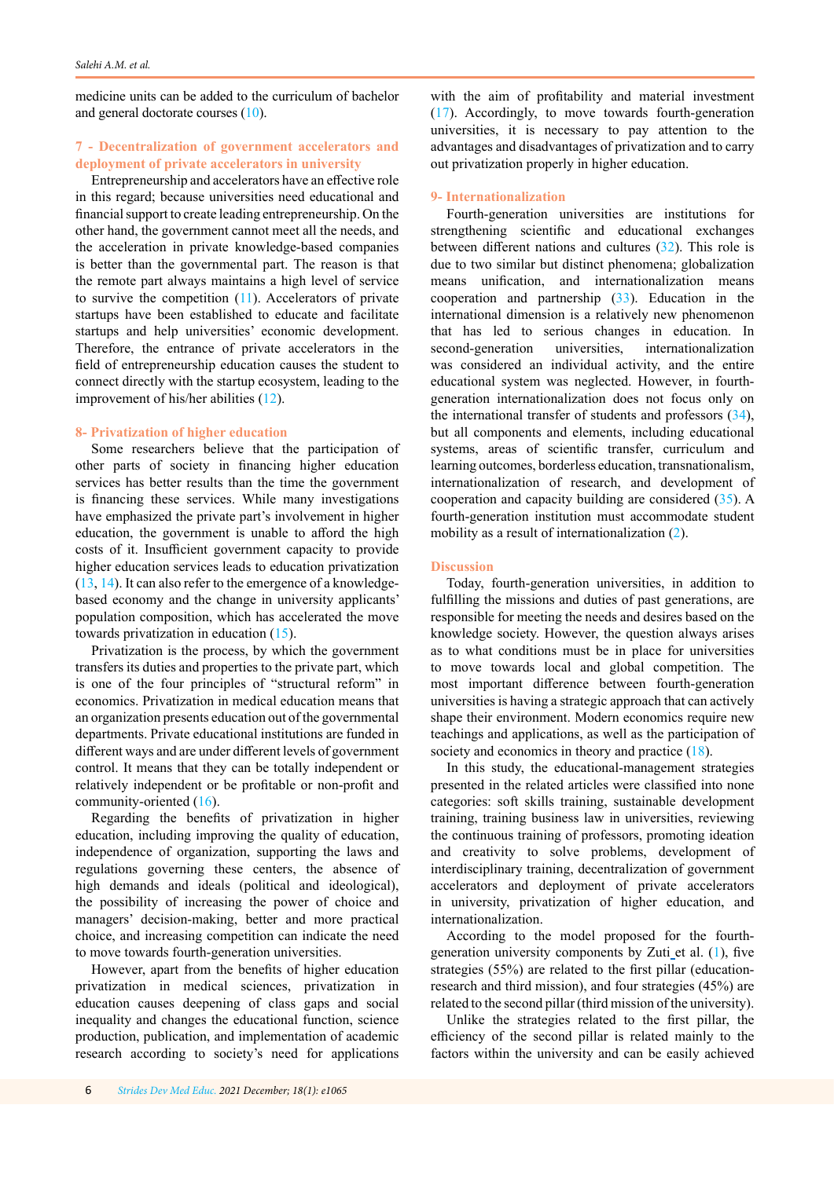medicine units can be added to the curriculum of bachelor and general doctorate courses ([10\)](#page-6-0).

# **7 - Decentralization of government accelerators and deployment of private accelerators in university**

Entrepreneurship and accelerators have an effective role in this regard; because universities need educational and financial support to create leading entrepreneurship. On the other hand, the government cannot meet all the needs, and the acceleration in private knowledge-based companies is better than the governmental part. The reason is that the remote part always maintains a high level of service to survive the competition  $(11)$  $(11)$  $(11)$ . Accelerators of private startups have been established to educate and facilitate startups and help universities' economic development. Therefore, the entrance of private accelerators in the field of entrepreneurship education causes the student to connect directly with the startup ecosystem, leading to the improvement of his/her abilities ([12\)](#page-6-0).

#### **8- Privatization of higher education**

Some researchers believe that the participation of other parts of society in financing higher education services has better results than the time the government is financing these services. While many investigations have emphasized the private part's involvement in higher education, the government is unable to afford the high costs of it. Insufficient government capacity to provide higher education services leads to education privatization [\(13](#page-7-0), [14\)](#page-7-0). It can also refer to the emergence of a knowledgebased economy and the change in university applicants' population composition, which has accelerated the move towards privatization in education ([15](#page-7-0)).

Privatization is the process, by which the government transfers its duties and properties to the private part, which is one of the four principles of "structural reform" in economics. Privatization in medical education means that an organization presents education out of the governmental departments. Private educational institutions are funded in different ways and are under different levels of government control. It means that they can be totally independent or relatively independent or be profitable or non-profit and community-oriented [\(16](#page-7-0)).

Regarding the benefits of privatization in higher education, including improving the quality of education, independence of organization, supporting the laws and regulations governing these centers, the absence of high demands and ideals (political and ideological), the possibility of increasing the power of choice and managers' decision-making, better and more practical choice, and increasing competition can indicate the need to move towards fourth-generation universities.

However, apart from the benefits of higher education privatization in medical sciences, privatization in education causes deepening of class gaps and social inequality and changes the educational function, science production, publication, and implementation of academic research according to society's need for applications

with the aim of profitability and material investment ([17](#page-7-0)). Accordingly, to move towards fourth-generation universities, it is necessary to pay attention to the advantages and disadvantages of privatization and to carry out privatization properly in higher education.

#### **9- Internationalization**

Fourth-generation universities are institutions for strengthening scientific and educational exchanges between different nations and cultures ([32\)](#page-7-0). This role is due to two similar but distinct phenomena; globalization means unification, and internationalization means cooperation and partnership ([33](#page-7-0)). Education in the international dimension is a relatively new phenomenon that has led to serious changes in education. In second-generation universities, internationalization was considered an individual activity, and the entire educational system was neglected. However, in fourthgeneration internationalization does not focus only on the international transfer of students and professors ([34](#page-7-0)), but all components and elements, including educational systems, areas of scientific transfer, curriculum and learning outcomes, borderless education, transnationalism, internationalization of research, and development of cooperation and capacity building are considered ([35\)](#page-7-0). A fourth-generation institution must accommodate student mobility as a result of internationalization ([2\)](#page-6-0).

#### **Discussion**

Today, fourth-generation universities, in addition to fulfilling the missions and duties of past generations, are responsible for meeting the needs and desires based on the knowledge society. However, the question always arises as to what conditions must be in place for universities to move towards local and global competition. The most important difference between fourth-generation universities is having a strategic approach that can actively shape their environment. Modern economics require new teachings and applications, as well as the participation of society and economics in theory and practice ([18](#page-7-0)).

In this study, the educational-management strategies presented in the related articles were classified into none categories: soft skills training, sustainable development training, training business law in universities, reviewing the continuous training of professors, promoting ideation and creativity to solve problems, development of interdisciplinary training, decentralization of government accelerators and deployment of private accelerators in university, privatization of higher education, and internationalization.

According to the model proposed for the fourthgeneration university components by Zuti\_et al.  $(1)$  $(1)$  $(1)$ , five strategies (55%) are related to the first pillar (educationresearch and third mission), and four strategies (45%) are related to the second pillar (third mission of the university).

Unlike the strategies related to the first pillar, the efficiency of the second pillar is related mainly to the factors within the university and can be easily achieved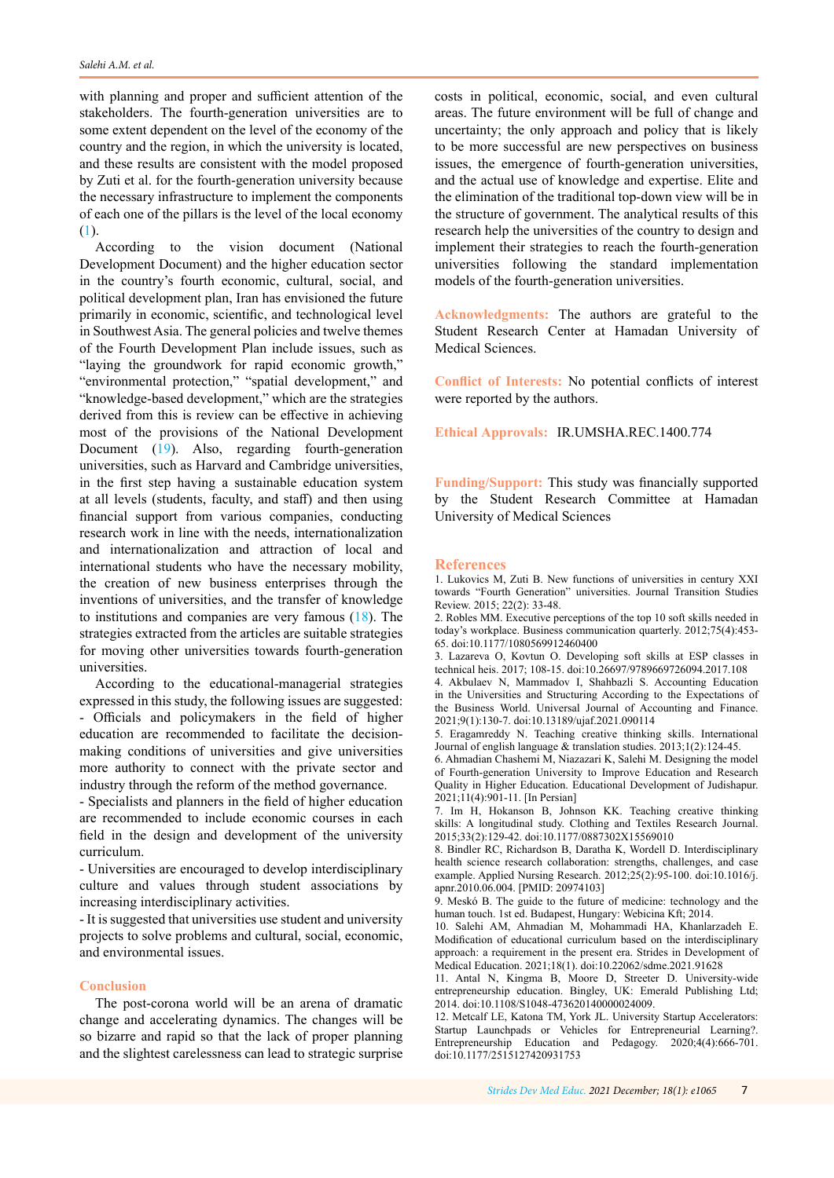<span id="page-6-0"></span>with planning and proper and sufficient attention of the stakeholders. The fourth-generation universities are to some extent dependent on the level of the economy of the country and the region, in which the university is located, and these results are consistent with the model proposed by Zuti et al. for the fourth-generation university because the necessary infrastructure to implement the components of each one of the pillars is the level of the local economy (1).

According to the vision document (National Development Document) and the higher education sector in the country's fourth economic, cultural, social, and political development plan, Iran has envisioned the future primarily in economic, scientific, and technological level in Southwest Asia. The general policies and twelve themes of the Fourth Development Plan include issues, such as "laying the groundwork for rapid economic growth," "environmental protection," "spatial development," and "knowledge-based development," which are the strategies derived from this is review can be effective in achieving most of the provisions of the National Development Document ([19\)](#page-7-0). Also, regarding fourth-generation universities, such as Harvard and Cambridge universities, in the first step having a sustainable education system at all levels (students, faculty, and staff) and then using financial support from various companies, conducting research work in line with the needs, internationalization and internationalization and attraction of local and international students who have the necessary mobility, the creation of new business enterprises through the inventions of universities, and the transfer of knowledge to institutions and companies are very famous (18). The strategies extracted from the articles are suitable strategies for moving other universities towards fourth-generation universities.

According to the educational-managerial strategies expressed in this study, the following issues are suggested: - Officials and policymakers in the field of higher education are recommended to facilitate the decisionmaking conditions of universities and give universities more authority to connect with the private sector and industry through the reform of the method governance.

- Specialists and planners in the field of higher education are recommended to include economic courses in each field in the design and development of the university curriculum.

- Universities are encouraged to develop interdisciplinary culture and values through student associations by increasing interdisciplinary activities.

- It is suggested that universities use student and university projects to solve problems and cultural, social, economic, and environmental issues.

# **Conclusion**

The post-corona world will be an arena of dramatic change and accelerating dynamics. The changes will be so bizarre and rapid so that the lack of proper planning and the slightest carelessness can lead to strategic surprise

costs in political, economic, social, and even cultural areas. The future environment will be full of change and uncertainty; the only approach and policy that is likely to be more successful are new perspectives on business issues, the emergence of fourth-generation universities, and the actual use of knowledge and expertise. Elite and the elimination of the traditional top-down view will be in the structure of government. The analytical results of this research help the universities of the country to design and implement their strategies to reach the fourth-generation universities following the standard implementation models of the fourth-generation universities.

**Acknowledgments:** The authors are grateful to the Student Research Center at Hamadan University of Medical Sciences.

**Conflict of Interests:** No potential conflicts of interest were reported by the authors.

**Ethical Approvals:** IR.UMSHA.REC.1400.774

**Funding/Support:** This study was financially supported by the Student Research Committee at Hamadan University of Medical Sciences

#### **References**

1. Lukovics M, Zuti B. New functions of universities in century XXI towards "Fourth Generation" universities. Journal Transition Studies Review. 2015; 22(2): 33-48.

2. Robles MM. Executive perceptions of the top 10 soft skills needed in today's workplace. Business communication quarterly. 2012;75(4):453- 65. doi:10.1177/1080569912460400

3. Lazareva O, Kovtun O. Developing soft skills at ESP classes in technical heis. 2017; 108-15. doi:10.26697/9789669726094.2017.108

4. Akbulaev N, Mammadov I, Shahbazli S. Accounting Education in the Universities and Structuring According to the Expectations of the Business World. Universal Journal of Accounting and Finance. 2021;9(1):130-7. doi:10.13189/ujaf.2021.090114

5. Eragamreddy N. Teaching creative thinking skills. International Journal of english language & translation studies. 2013;1(2):124-45.

6. Ahmadian Chashemi M, Niazazari K, Salehi M. Designing the model of Fourth-generation University to Improve Education and Research Quality in Higher Education. Educational Development of Judishapur. 2021;11(4):901-11. [In Persian]

7. Im H, Hokanson B, Johnson KK. Teaching creative thinking skills: A longitudinal study. Clothing and Textiles Research Journal. 2015;33(2):129-42. doi:10.1177/0887302X15569010

8. Bindler RC, Richardson B, Daratha K, Wordell D. Interdisciplinary health science research collaboration: strengths, challenges, and case example. Applied Nursing Research. 2012;25(2):95-100. doi:10.1016/j. apnr.2010.06.004. [PMID: 20974103]

9. Meskó B. The guide to the future of medicine: technology and the human touch. 1st ed. Budapest, Hungary: Webicina Kft; 2014.

10. Salehi AM, Ahmadian M, Mohammadi HA, Khanlarzadeh E. Modification of educational curriculum based on the interdisciplinary approach: a requirement in the present era. Strides in Development of Medical Education. 2021;18(1). doi:10.22062/sdme.2021.91628

11. Antal N, Kingma B, Moore D, Streeter D. University-wide entrepreneurship education. Bingley, UK: Emerald Publishing Ltd; 2014. doi:10.1108/S1048-473620140000024009.

12. Metcalf LE, Katona TM, York JL. University Startup Accelerators: Startup Launchpads or Vehicles for Entrepreneurial Learning?. Entrepreneurship Education and Pedagogy. 2020;4(4):666-701. doi:10.1177/2515127420931753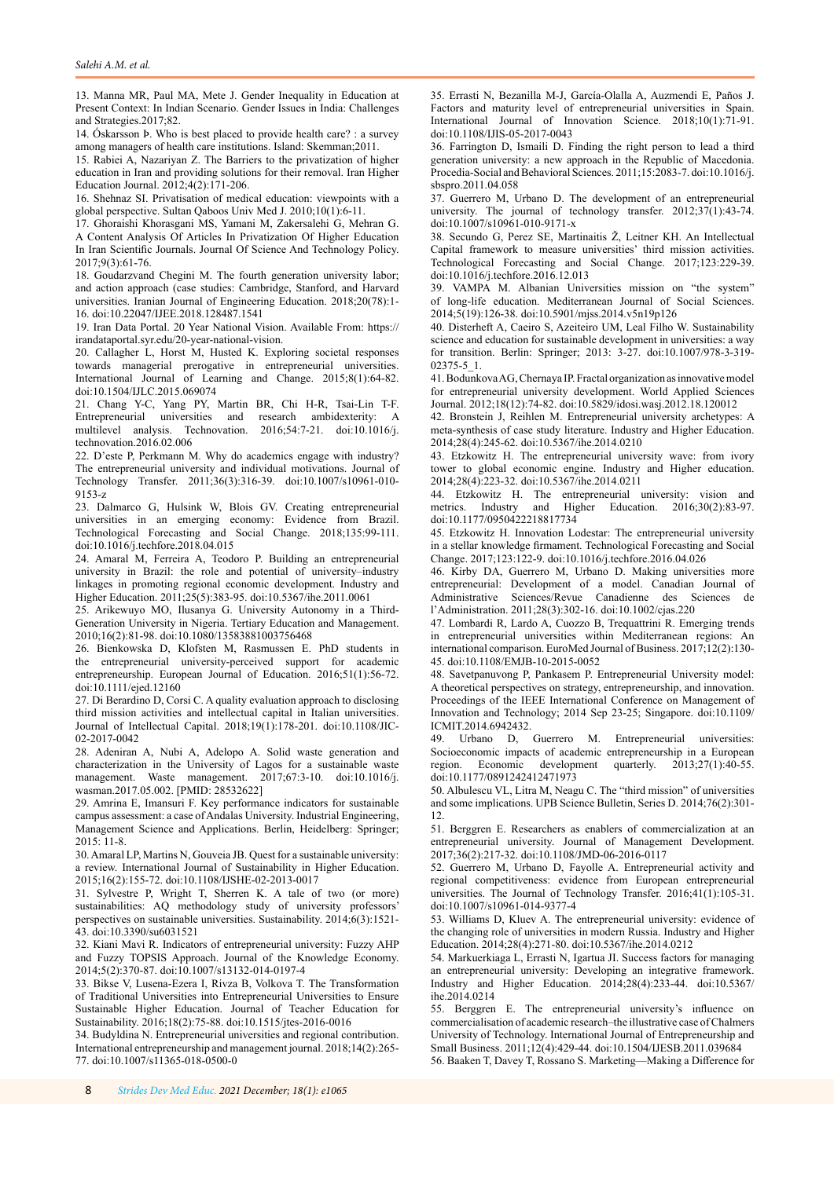<span id="page-7-0"></span>13. Manna MR, Paul MA, Mete J. Gender Inequality in Education at Present Context: In Indian Scenario. Gender Issues in India: Challenges and Strategies.2017;82.

14. Óskarsson Þ. Who is best placed to provide health care? : a survey among managers of health care institutions. Island: Skemman;2011.

15. Rabiei A, Nazariyan Z. The Barriers to the privatization of higher education in Iran and providing solutions for their removal. Iran Higher Education Journal. 2012;4(2):171-206.

16. Shehnaz SI. Privatisation of medical education: viewpoints with a global perspective. Sultan Qaboos Univ Med J. 2010;10(1):6-11.

17. Ghoraishi Khorasgani MS, Yamani M, Zakersalehi G, Mehran G. A Content Analysis Of Articles In Privatization Of Higher Education In Iran Scientific Journals. Journal Of Science And Technology Policy. 2017;9(3):61-76.

18. Goudarzvand Chegini M. The fourth generation university labor; and action approach (case studies: Cambridge, Stanford, and Harvard universities. Iranian Journal of Engineering Education. 2018;20(78):1- 16. doi:10.22047/IJEE.2018.128487.1541

19. Iran Data Portal. 20 Year National Vision. Available From: https:// irandataportal.syr.edu/20-year-national-vision.

20. Callagher L, Horst M, Husted K. Exploring societal responses towards managerial prerogative in entrepreneurial universities. International Journal of Learning and Change. 2015;8(1):64-82. doi:10.1504/IJLC.2015.069074

21. Chang Y-C, Yang PY, Martin BR, Chi H-R, Tsai-Lin T-F. Entrepreneurial universities and research ambidexterity: A multilevel analysis. Technovation. 2016;54:7-21. doi:10.1016/j. technovation.2016.02.006

22. D'este P, Perkmann M. Why do academics engage with industry? The entrepreneurial university and individual motivations. Journal of Technology Transfer. 2011;36(3):316-39. doi:10.1007/s10961-010- 9153-z

23. Dalmarco G, Hulsink W, Blois GV. Creating entrepreneurial universities in an emerging economy: Evidence from Brazil. Technological Forecasting and Social Change. 2018;135:99-111. doi:10.1016/j.techfore.2018.04.015

24. Amaral M, Ferreira A, Teodoro P. Building an entrepreneurial university in Brazil: the role and potential of university–industry linkages in promoting regional economic development. Industry and Higher Education. 2011;25(5):383-95. doi:10.5367/ihe.2011.0061

25. Arikewuyo MO, Ilusanya G. University Autonomy in a Third‐ Generation University in Nigeria. Tertiary Education and Management. 2010;16(2):81-98. doi:10.1080/13583881003756468

26. Bienkowska D, Klofsten M, Rasmussen E. PhD students in the entrepreneurial university-perceived support for academic entrepreneurship. European Journal of Education. 2016;51(1):56-72. doi:10.1111/ejed.12160

27. Di Berardino D, Corsi C. A quality evaluation approach to disclosing third mission activities and intellectual capital in Italian universities. Journal of Intellectual Capital. 2018;19(1):178-201. doi:10.1108/JIC-02-2017-0042

28. Adeniran A, Nubi A, Adelopo A. Solid waste generation and characterization in the University of Lagos for a sustainable waste management. Waste management. 2017;67:3-10. doi:10.1016/j. wasman.2017.05.002. [PMID: 28532622]

29. Amrina E, Imansuri F. Key performance indicators for sustainable campus assessment: a case of Andalas University. Industrial Engineering, Management Science and Applications. Berlin, Heidelberg: Springer; 2015: 11-8.

30. Amaral LP, Martins N, Gouveia JB. Quest for a sustainable university: a review. International Journal of Sustainability in Higher Education. 2015;16(2):155-72. doi:10.1108/IJSHE-02-2013-0017

31. Sylvestre P, Wright T, Sherren K. A tale of two (or more) sustainabilities: AQ methodology study of university professors' perspectives on sustainable universities. Sustainability. 2014;6(3):1521- 43. doi:10.3390/su6031521

32. Kiani Mavi R. Indicators of entrepreneurial university: Fuzzy AHP and Fuzzy TOPSIS Approach. Journal of the Knowledge Economy. 2014;5(2):370-87. doi:10.1007/s13132-014-0197-4

33. Bikse V, Lusena-Ezera I, Rivza B, Volkova T. The Transformation of Traditional Universities into Entrepreneurial Universities to Ensure Sustainable Higher Education. Journal of Teacher Education for Sustainability. 2016;18(2):75-88. doi:10.1515/jtes-2016-0016

34. Budyldina N. Entrepreneurial universities and regional contribution. International entrepreneurship and management journal. 2018;14(2):265- 77. doi:10.1007/s11365-018-0500-0

35. Errasti N, Bezanilla M-J, García-Olalla A, Auzmendi E, Paños J. Factors and maturity level of entrepreneurial universities in Spain. International Journal of Innovation Science. 2018;10(1):71-91. doi:10.1108/IJIS-05-2017-0043

36. Farrington D, Ismaili D. Finding the right person to lead a third generation university: a new approach in the Republic of Macedonia. Procedia-Social and Behavioral Sciences. 2011;15:2083-7. doi:10.1016/j. sbspro.2011.04.058

37. Guerrero M, Urbano D. The development of an entrepreneurial university. The journal of technology transfer. 2012;37(1):43-74. doi:10.1007/s10961-010-9171-x

38. Secundo G, Perez SE, Martinaitis Ž, Leitner KH. An Intellectual Capital framework to measure universities' third mission activities. Technological Forecasting and Social Change. 2017;123:229-39. doi:10.1016/j.techfore.2016.12.013

39. VAMPA M. Albanian Universities mission on "the system" of long-life education. Mediterranean Journal of Social Sciences. 2014;5(19):126-38. doi:10.5901/mjss.2014.v5n19p126

40. Disterheft A, Caeiro S, Azeiteiro UM, Leal Filho W. Sustainability science and education for sustainable development in universities: a way for transition. Berlin: Springer; 2013: 3-27. doi:10.1007/978-3-319- 02375-5\_1.

41. Bodunkova AG, Chernaya IP. Fractal organization as innovative model for entrepreneurial university development. World Applied Sciences Journal. 2012;18(12):74-82. doi:10.5829/idosi.wasj.2012.18.120012

42. Bronstein J, Reihlen M. Entrepreneurial university archetypes: A meta-synthesis of case study literature. Industry and Higher Education. 2014;28(4):245-62. doi:10.5367/ihe.2014.0210

43. Etzkowitz H. The entrepreneurial university wave: from ivory tower to global economic engine. Industry and Higher education. 2014;28(4):223-32. doi:10.5367/ihe.2014.0211

44. Etzkowitz H. The entrepreneurial university: vision and metrics. Industry and Higher Education. 2016;30(2):83-97. and Higher Education.  $2016;30(2):83-97$ . doi:10.1177/0950422218817734

45. Etzkowitz H. Innovation Lodestar: The entrepreneurial university in a stellar knowledge firmament. Technological Forecasting and Social Change. 2017;123:122-9. doi:10.1016/j.techfore.2016.04.026

46. Kirby DA, Guerrero M, Urbano D. Making universities more entrepreneurial: Development of a model. Canadian Journal of Administrative Sciences/Revue Canadienne des Sciences de l'Administration. 2011;28(3):302-16. doi:10.1002/cjas.220

47. Lombardi R, Lardo A, Cuozzo B, Trequattrini R. Emerging trends in entrepreneurial universities within Mediterranean regions: An international comparison. EuroMed Journal of Business. 2017;12(2):130- 45. doi:10.1108/EMJB-10-2015-0052

48. Savetpanuvong P, Pankasem P. Entrepreneurial University model: A theoretical perspectives on strategy, entrepreneurship, and innovation. Proceedings of the IEEE International Conference on Management of Innovation and Technology; 2014 Sep 23-25; Singapore. [doi:10.1109/](https://doi.org/10.1109/ICMIT.2014.6942432) [ICMIT.2014.6942432.](https://doi.org/10.1109/ICMIT.2014.6942432)

49. Urbano D, Guerrero M. Entrepreneurial universities: Socioeconomic impacts of academic entrepreneurship in a European region. Economic development quarterly. 2013;27(1):40-55. doi:10.1177/0891242412471973

50. Albulescu VL, Litra M, Neagu C. The "third mission" of universities and some implications. UPB Science Bulletin, Series D. 2014;76(2):301- 12.

51. Berggren E. Researchers as enablers of commercialization at an entrepreneurial university. Journal of Management Development. 2017;36(2):217-32. doi:10.1108/JMD-06-2016-0117

52. Guerrero M, Urbano D, Fayolle A. Entrepreneurial activity and regional competitiveness: evidence from European entrepreneurial universities. The Journal of Technology Transfer. 2016;41(1):105-31. doi:10.1007/s10961-014-9377-4

53. Williams D, Kluev A. The entrepreneurial university: evidence of the changing role of universities in modern Russia. Industry and Higher Education. 2014;28(4):271-80. doi:10.5367/ihe.2014.0212

54. Markuerkiaga L, Errasti N, Igartua JI. Success factors for managing an entrepreneurial university: Developing an integrative framework. Industry and Higher Education. 2014;28(4):233-44. doi:10.5367/ ihe.2014.0214

55. Berggren E. The entrepreneurial university's influence on commercialisation of academic research–the illustrative case of Chalmers University of Technology. International Journal of Entrepreneurship and Small Business. 2011;12(4):429-44. doi:10.1504/IJESB.2011.039684

56. Baaken T, Davey T, Rossano S. Marketing—Making a Difference for